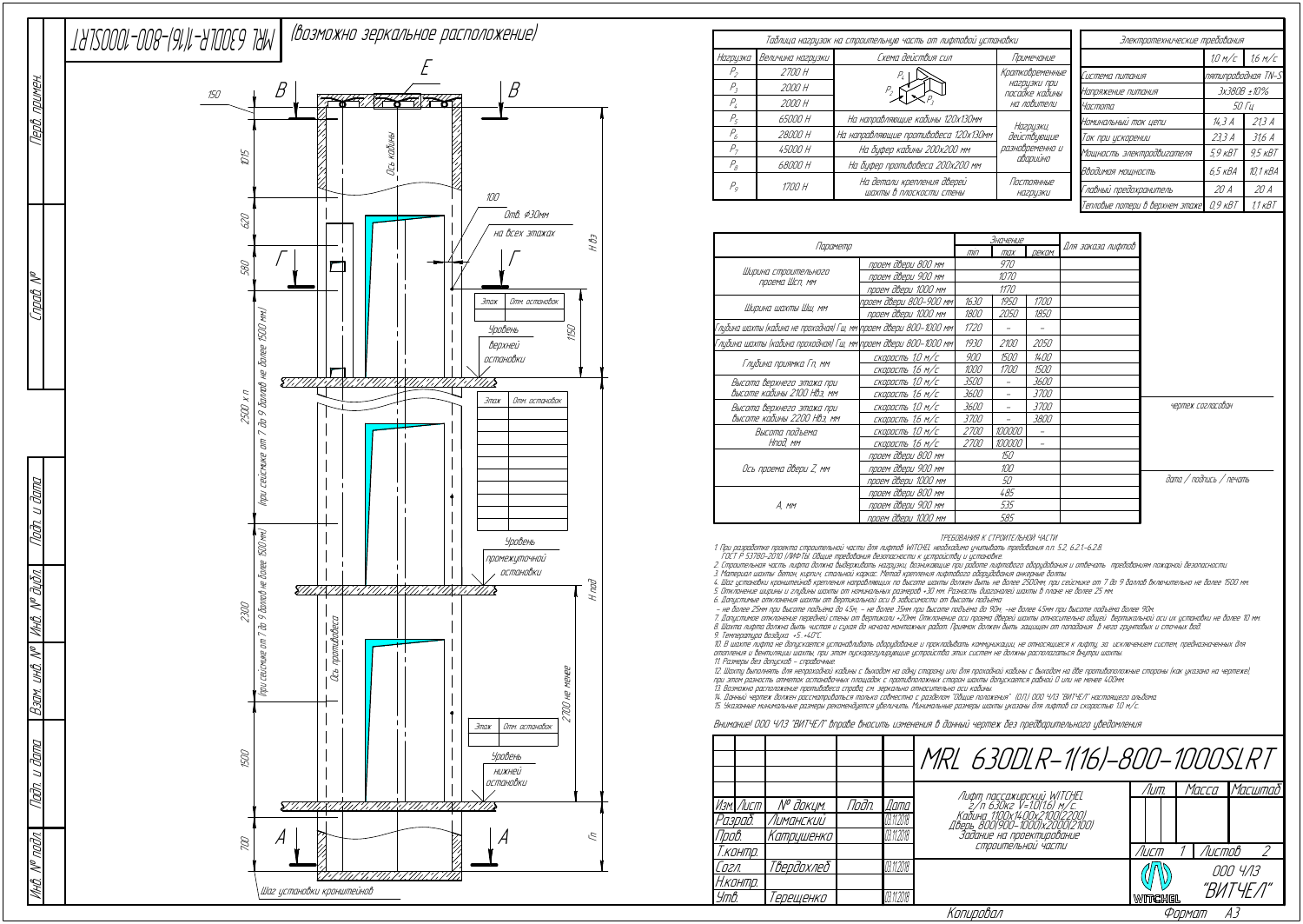ТРЕБОВАНИЯ К СТРОИТЕЛЬНОЙ ЧАСТИ

1. При разработке проекта строительной части для лифтов WITCHEL необходимо учитывать требования <sup>п</sup>.п. 5.2, 6.2.1.-6.2.8.

ГОСТ Р 53780-2010 (ЛИФТЫ. Общие требования безопасности <sup>к</sup> устройству <sup>и</sup> установке.

2. Строительная часть лифта должна выдерживать нагрузки, возникающие при работе лифтового оборудования <sup>и</sup> отвечать требованиям пожарной безопасности.

3. Материал шахты: бетон, кирпич, стальной каркас. Метод крепления лифтового оборудования анкерные болты.

4. Шаг установки кронштейнов крепления направляющих по высоте шахты должен быть не более 2500мм, при сейсмике от 7 до 9 баллов включительно не более 1500 мм. 5. Отклонение ширины <sup>и</sup> глубины шахты от номинальных размеров +30 мм. Разность диагоналей шахты в плане не более 25 мм.

6. Допустимые отклонения шахты от вертикальной оси в зависимости от высоты подъёма:<br>– не более 25мм при высоте подъёма до 45м; – не более 35мм при высоте подъёма до 90м; -не более 45мм при высоте подъёма более 90м

7. Допустимое отклонение передней стены от вертикали +20мм. Отклонение оси проема дверей шахты относительно общей вертикальной оси их установки не более 10 мм. 8. Шахта лифта должна быть чистая <sup>и</sup> сухая до начала монтажных работ. Приямок должен быть защищен от попадания в него грунтовых <sup>и</sup> сточных вод.

|                                                                    |                        | <u>Значение</u> |                          |                   |                   |                         |
|--------------------------------------------------------------------|------------------------|-----------------|--------------------------|-------------------|-------------------|-------------------------|
| Параметр                                                           |                        |                 | max                      | <b>ДЕКОМ.</b>     | Для заказа лифтов |                         |
|                                                                    | проем двери 800 мм     |                 | 970                      |                   |                   |                         |
| Ширина строительного<br>проема Шсп, мм                             | проем двери 900 мм     | 1070            |                          |                   |                   |                         |
|                                                                    | проем двери 1000 мм    |                 | 1170                     |                   |                   |                         |
| Ширина шахты Шш, мм                                                | проем двери 800–900 мм | 1630            | 1950                     | <i>1700</i>       |                   |                         |
|                                                                    | проем двери 1000 мм    | 1800            | 2050                     | 1850              |                   |                         |
| Глубина шахты (кабина не проходная) Гш, мм\проем двери 800–1000 мм |                        | 1720            |                          |                   |                   |                         |
| Глубина шахты (кабина проходная) Гш, мм\проем двери 800–1000 мм    |                        | 1930            | <i>2100</i>              | 2050              |                   |                         |
|                                                                    | скорость 1,0 м/с       | 900             | 1500                     | 1400              |                   |                         |
| Глубина приямка Гп, мм                                             | СКОРОСТЬ 1,6 М/С       | 1000            | 1700                     | 1500              |                   |                         |
| Высота верхнего этажа при                                          | скорость 1,0 м/с       | <i>3500</i>     |                          | 3600              |                   |                         |
| высоте кабины 2100 Нвэ, мм                                         | скорость 1,6 м/с       | 3600            | $\overline{\phantom{m}}$ | <i>3700</i>       |                   |                         |
| Высота верхнего этажа при                                          | скорость 1,0 м/с       | 3600            | $\overline{\phantom{0}}$ | <i>3700</i>       |                   | чертеж согласован       |
| Высоте кабины 2200 НВэ, мм                                         | скорость 1,6 м/с       | <i>3700</i>     |                          | 3800              |                   |                         |
| Высота подъема                                                     | скорость 1,0 м/с       | <i>2700</i>     | 100000                   |                   |                   |                         |
| Нпод, мм                                                           | скорость 1,6 м/с       | <i>2700</i>     | 100000                   | $\qquad \qquad -$ |                   |                         |
|                                                                    | проем двери 800 мм     |                 | 150                      |                   |                   |                         |
| Ось проема двери Z, мм                                             | проем двери 900 мм     |                 | 100                      |                   |                   |                         |
|                                                                    | проем двери 1000 мм    | 50              |                          |                   |                   | дата / подпись / печать |
|                                                                    | проем двери 800 мм     | 485             |                          |                   |                   |                         |
| A, mm                                                              | проем двери 900 мм     | 535             |                          |                   |                   |                         |
|                                                                    | проем двери 1000 мм    |                 | 585                      |                   |                   |                         |

9. Температура воздуха +5…+40°С.

10. В шахте лифта не допускается устанавливать оборудование <sup>и</sup> прокладывать коммуникации, не относящиеся <sup>к</sup> лифту, за исключением систем, предназначенных для отопления <sup>и</sup> вентиляции шахты, при этом пускорегулирующие устройства этих систем не должны располагаться внутри шахты. 11. Размеры без допусков - справочные.

|                  |                  |       |             | MRL 630DLR-1(16)-800-1000SLRT                                                       |         |        |          |
|------------------|------------------|-------|-------------|-------------------------------------------------------------------------------------|---------|--------|----------|
|                  |                  |       |             |                                                                                     | /Іит.   | Macca  | Масштаб! |
| Изм. Лист        | № д <u>окцм.</u> | Noðn. | <i>Dama</i> | Лифт пассажирский WITCHEL<br>2/п 630кг V=10(16) м/с.<br>Кабина 1100х1400х2100(2200) |         |        |          |
| Разраб.          | Лиманский        |       | 03.11.2018  | Дверь 8001900-10001x2000121001                                                      |         |        |          |
| Npo <i>b</i> .   | Катрцшенко       |       | 03.11.2018  | Задание на проектирование                                                           |         |        |          |
| Т.конт <u>р.</u> |                  |       |             | СТООИТЕЛЬНОЙ ЧАСТИ                                                                  | /Іист   | Листов |          |
| Согл.            | Твердохлеб       |       | 03.11.2018  |                                                                                     |         |        | 000 4/13 |
| Н.контр.         |                  |       |             |                                                                                     |         |        | "ВИТЧЕЛ" |
| Утв.             | 'ерещенко        |       | 03.11.2018  |                                                                                     | WITCHEL |        |          |
|                  |                  |       |             | Копировал                                                                           |         | Формат | AЗ       |

12. Шахту выполнять для непроходной кабины <sup>с</sup> выходом на одну сторону или для проходной кабины <sup>с</sup> выходом на две противоположные стороны (как указано на чертеже), при этом разность отметок остановочных площадок <sup>с</sup> противположных сторон шахты допускается равной 0 или не менее 400мм.

13. Возможно расположение противовеса справа, см. зеркально относительно оси кабины.<br>14. Данный чертеж должен рассматриваться только совместно с разделом "Общие положения" (О.П.) ООО ЧЛЗ "ВИТЧЕЛ" настоящего альбома.<br>15. У

Внимание! ООО ЧЛЗ "ВИТЧЕЛ" вправе вносить изменения в данный чертеж без предварительного уведомления

|                            |                   | Таблица нагрцзок на строительную часть от лифтовой установки | Электротехнические требования  |                                 |                    |                    |  |
|----------------------------|-------------------|--------------------------------------------------------------|--------------------------------|---------------------------------|--------------------|--------------------|--|
| Нагрузка                   | Величина нагрузки | Схема действия сил                                           | Примечание                     |                                 | 10 M/C             | 1.6 M/C            |  |
| $P_{\scriptscriptstyle 2}$ | 2700 H            |                                                              | Кратковременные                | Система питания                 | nятипроводная TN-S |                    |  |
| Р,                         | 2000 H            |                                                              | НАГРИЗКИ ПРИ<br>посадке кабины | Напряжение питания              | 3x380B ±10%        |                    |  |
| $P_{\iota}$                | 2000 H            |                                                              | на ловители                    | <i>Частота</i>                  | <i>50 Tu</i>       |                    |  |
| $P_{\varsigma}$            | 65000 H           | На направляющие кабины 120х130мм                             | Нагрузки,                      | Номинальный ток цепи            | 14,3 A             | 21.3A              |  |
| $P_{6}$                    | 28000 H           | На направляющие противовеса 120х130мм                        | действующие                    | Ток при ускорении               | 23,3 A             | 31.6A              |  |
| $P_{\tau}$                 | <i>45000 H</i>    | На буфер кабины 200х200 мм                                   | разновременно и                | Мощность электродвигателя       | $59$ $KBT$         | $9.5$ $KBT$        |  |
| $P_{\scriptscriptstyle R}$ | 68000 H           | На буфер противовеса 200х200 мм                              | аварийно                       | Вводимая мощность               | 6,5 кВА            | 10,1 кВА           |  |
| $P_q$                      | 1700 H            | На детали крепления дверей<br>шахты в плоскости стены        | Постоянные<br><b>НА2РЦЗКИ</b>  | Главный предохранитель          | 20A                | 20A                |  |
|                            |                   |                                                              |                                | Тепловые потери в верхнем этаже | $0.9$ $\kappa B$ T | 11 <sub>K</sub> BT |  |



|                     |           |            |       |             | MRL 630DLR-1(16)-800-1000SL                                                          |         |                  |   |
|---------------------|-----------|------------|-------|-------------|--------------------------------------------------------------------------------------|---------|------------------|---|
|                     |           |            |       |             |                                                                                      | Лит.    | Macca            | M |
|                     | Изм. Лист | № докцм.   | Noðn. | <i>Dama</i> | Лифт пассажирский WITCHEL<br>2/п 630кг V=10(1.6) м/с.<br>Кабина 1100х1400х2100(2200) |         |                  |   |
|                     | Разраб.   | Лиманский  |       | 03.11.2018  |                                                                                      |         |                  |   |
| <i><b>Пров.</b></i> |           | Катрцшенко |       | 03.11.2018  | лверь 800(900-1000)x2000[2100]<br>Задание на проектирование                          |         |                  |   |
|                     | Т.контр.  |            |       |             | СТРОИТЕЛЬНОИ ЧАСТИ                                                                   | /Іист   | Листов           |   |
| Согл.               |           | Твердохлеб |       | 03.11.2018  |                                                                                      |         | 000 <sup>i</sup> |   |
|                     | Н. контр. |            |       |             |                                                                                      |         | "ВИТЧ            |   |
| <i>Утв.</i>         |           | 'ерещенко  |       | 11,2018     |                                                                                      | WITCHEL |                  |   |